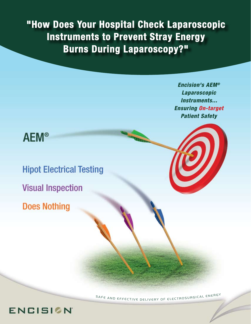**"How Does Your Hospital Check Laparoscopic Instruments to Prevent Stray Energy Burns During Laparoscopy?"**

> *Encision's AEM® Laparoscopic Instruments... Ensuring On-target Patient Safety*

## **AEM®**

**Hipot Electrical Testing Visual Inspection** 

**Does Nothing** 

**ENCISION** 

SAFE AND EFFECTIVE DELIVERY OF ELECTROSURGICAL ENERGY